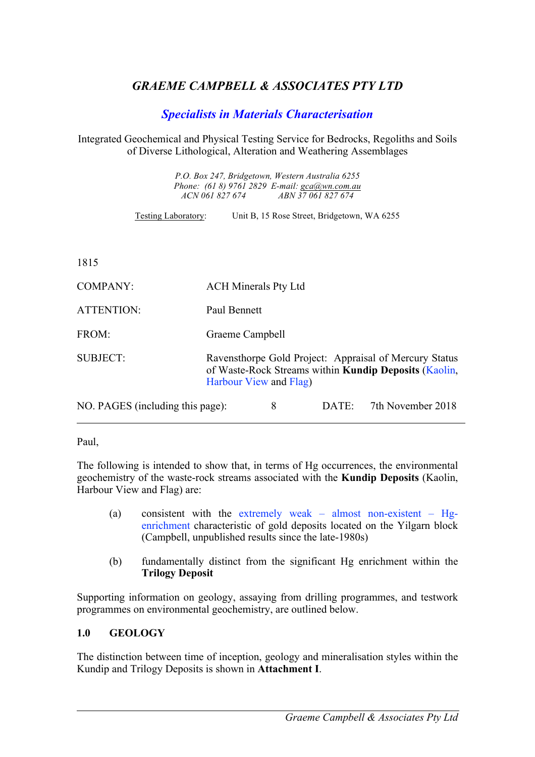# *GRAEME CAMPBELL & ASSOCIATES PTY LTD*

## *Specialists in Materials Characterisation*

#### Integrated Geochemical and Physical Testing Service for Bedrocks, Regoliths and Soils of Diverse Lithological, Alteration and Weathering Assemblages

*P.O. Box 247, Bridgetown, Western Australia 6255 Phone: (61 8) 9761 2829 E-mail: gca@wn.com.au ACN 061 827 674 ABN 37 061 827 674*

Testing Laboratory: Unit B, 15 Rose Street, Bridgetown, WA 6255

1815

| <b>COMPANY:</b>                  | <b>ACH Minerals Pty Ltd</b>                                                                                                                      |   |          |                   |
|----------------------------------|--------------------------------------------------------------------------------------------------------------------------------------------------|---|----------|-------------------|
| <b>ATTENTION:</b>                | Paul Bennett                                                                                                                                     |   |          |                   |
| FROM:                            | Graeme Campbell                                                                                                                                  |   |          |                   |
| <b>SUBJECT:</b>                  | Ravensthorpe Gold Project: Appraisal of Mercury Status<br>of Waste-Rock Streams within <b>Kundip Deposits</b> (Kaolin,<br>Harbour View and Flag) |   |          |                   |
| NO. PAGES (including this page): |                                                                                                                                                  | 8 | $DATE^+$ | 7th November 2018 |

Paul,

The following is intended to show that, in terms of Hg occurrences, the environmental geochemistry of the waste-rock streams associated with the **Kundip Deposits** (Kaolin, Harbour View and Flag) are:

- (a) consistent with the extremely weak almost non-existent Hgenrichment characteristic of gold deposits located on the Yilgarn block (Campbell, unpublished results since the late-1980s)
- (b) fundamentally distinct from the significant Hg enrichment within the **Trilogy Deposit**

Supporting information on geology, assaying from drilling programmes, and testwork programmes on environmental geochemistry, are outlined below.

#### **1.0 GEOLOGY**

The distinction between time of inception, geology and mineralisation styles within the Kundip and Trilogy Deposits is shown in **Attachment I**.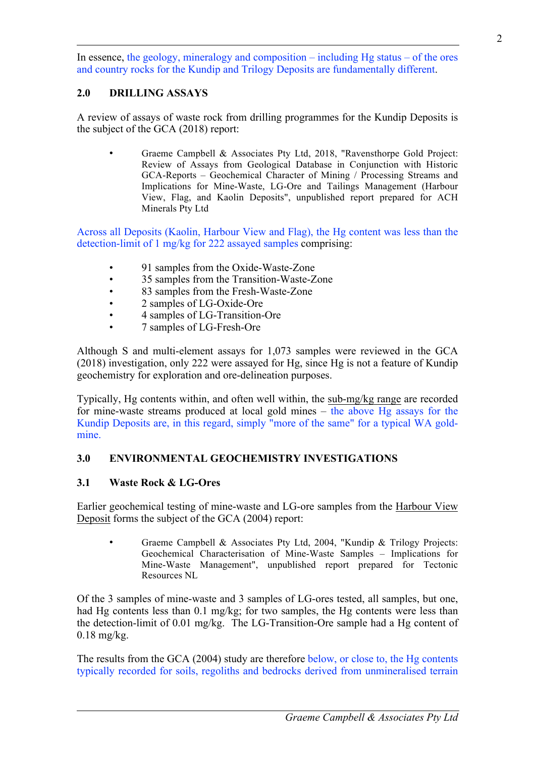In essence, the geology, mineralogy and composition – including  $He$  status – of the ores and country rocks for the Kundip and Trilogy Deposits are fundamentally different.

# **2.0 DRILLING ASSAYS**

A review of assays of waste rock from drilling programmes for the Kundip Deposits is the subject of the GCA (2018) report:

• Graeme Campbell & Associates Pty Ltd, 2018, "Ravensthorpe Gold Project: Review of Assays from Geological Database in Conjunction with Historic GCA-Reports – Geochemical Character of Mining / Processing Streams and Implications for Mine-Waste, LG-Ore and Tailings Management (Harbour View, Flag, and Kaolin Deposits", unpublished report prepared for ACH Minerals Pty Ltd

Across all Deposits (Kaolin, Harbour View and Flag), the Hg content was less than the detection-limit of 1 mg/kg for 222 assayed samples comprising:

- 91 samples from the Oxide-Waste-Zone
- 35 samples from the Transition-Waste-Zone
- 83 samples from the Fresh-Waste-Zone
- 2 samples of LG-Oxide-Ore
- 4 samples of LG-Transition-Ore
- 7 samples of LG-Fresh-Ore

Although S and multi-element assays for 1,073 samples were reviewed in the GCA (2018) investigation, only 222 were assayed for Hg, since Hg is not a feature of Kundip geochemistry for exploration and ore-delineation purposes.

Typically, Hg contents within, and often well within, the sub-mg/kg range are recorded for mine-waste streams produced at local gold mines – the above Hg assays for the Kundip Deposits are, in this regard, simply "more of the same" for a typical WA goldmine.

## **3.0 ENVIRONMENTAL GEOCHEMISTRY INVESTIGATIONS**

#### **3.1 Waste Rock & LG-Ores**

Earlier geochemical testing of mine-waste and LG-ore samples from the Harbour View Deposit forms the subject of the GCA (2004) report:

• Graeme Campbell & Associates Pty Ltd, 2004, "Kundip & Trilogy Projects: Geochemical Characterisation of Mine-Waste Samples – Implications for Mine-Waste Management", unpublished report prepared for Tectonic Resources NL

Of the 3 samples of mine-waste and 3 samples of LG-ores tested, all samples, but one, had Hg contents less than 0.1 mg/kg; for two samples, the Hg contents were less than the detection-limit of 0.01 mg/kg. The LG-Transition-Ore sample had a Hg content of 0.18 mg/kg.

The results from the GCA (2004) study are therefore below, or close to, the Hg contents typically recorded for soils, regoliths and bedrocks derived from unmineralised terrain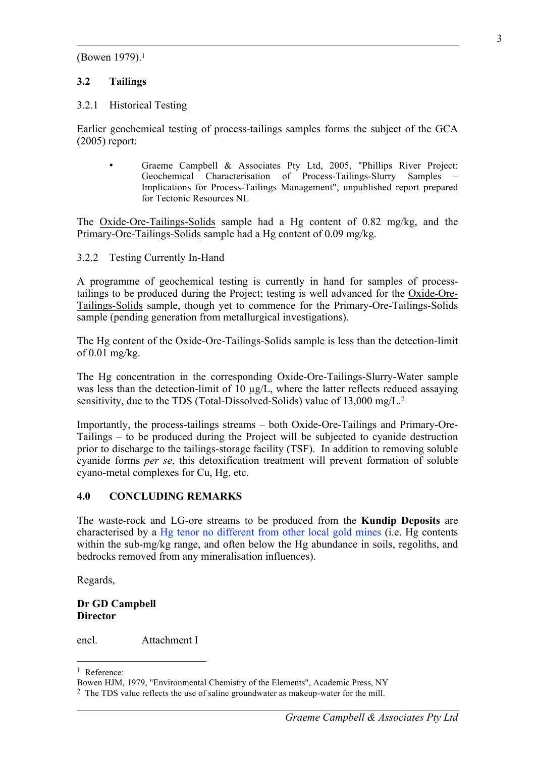(Bowen 1979).1

#### **3.2 Tailings**

#### 3.2.1 Historical Testing

Earlier geochemical testing of process-tailings samples forms the subject of the GCA (2005) report:

• Graeme Campbell & Associates Pty Ltd, 2005, "Phillips River Project: Geochemical Characterisation of Process-Tailings-Slurry Samples – Implications for Process-Tailings Management", unpublished report prepared for Tectonic Resources NL

The Oxide-Ore-Tailings-Solids sample had a Hg content of 0.82 mg/kg, and the Primary-Ore-Tailings-Solids sample had a Hg content of 0.09 mg/kg.

#### 3.2.2 Testing Currently In-Hand

A programme of geochemical testing is currently in hand for samples of processtailings to be produced during the Project; testing is well advanced for the Oxide-Ore-Tailings-Solids sample, though yet to commence for the Primary-Ore-Tailings-Solids sample (pending generation from metallurgical investigations).

The Hg content of the Oxide-Ore-Tailings-Solids sample is less than the detection-limit of 0.01 mg/kg.

The Hg concentration in the corresponding Oxide-Ore-Tailings-Slurry-Water sample was less than the detection-limit of  $10 \mu g/L$ , where the latter reflects reduced assaying sensitivity, due to the TDS (Total-Dissolved-Solids) value of 13,000 mg/L.<sup>2</sup>

Importantly, the process-tailings streams – both Oxide-Ore-Tailings and Primary-Ore-Tailings – to be produced during the Project will be subjected to cyanide destruction prior to discharge to the tailings-storage facility (TSF). In addition to removing soluble cyanide forms *per se*, this detoxification treatment will prevent formation of soluble cyano-metal complexes for Cu, Hg, etc.

#### **4.0 CONCLUDING REMARKS**

The waste-rock and LG-ore streams to be produced from the **Kundip Deposits** are characterised by a Hg tenor no different from other local gold mines (i.e. Hg contents within the sub-mg/kg range, and often below the Hg abundance in soils, regoliths, and bedrocks removed from any mineralisation influences).

Regards,

#### **Dr GD Campbell Director**

encl. Attachment I

1 Reference:

l

Bowen HJM, 1979, "Environmental Chemistry of the Elements", Academic Press, NY

<sup>2</sup> The TDS value reflects the use of saline groundwater as makeup-water for the mill.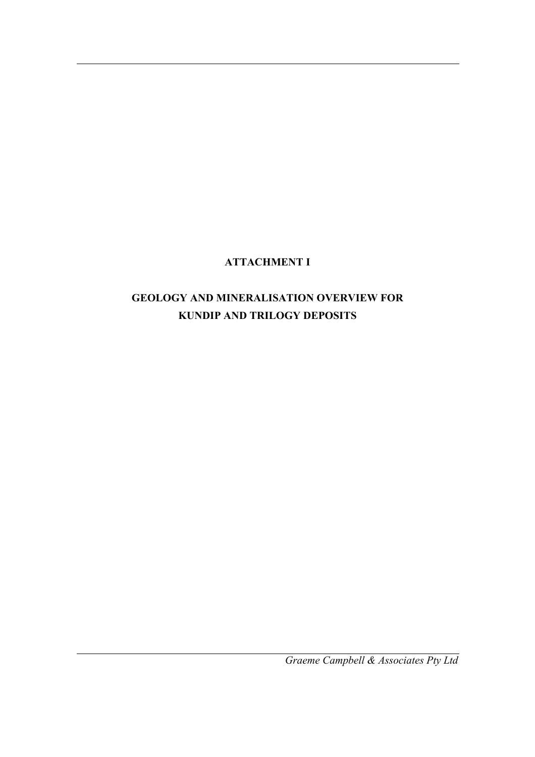# **ATTACHMENT I**

# **GEOLOGY AND MINERALISATION OVERVIEW FOR KUNDIP AND TRILOGY DEPOSITS**

*Graeme Campbell & Associates Pty Ltd*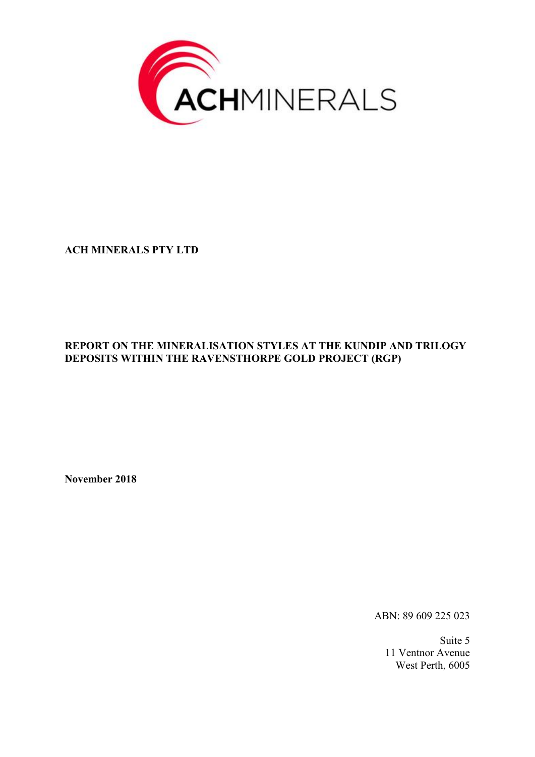

**ACH MINERALS PTY LTD**

#### **REPORT ON THE MINERALISATION STYLES AT THE KUNDIP AND TRILOGY DEPOSITS WITHIN THE RAVENSTHORPE GOLD PROJECT (RGP)**

**November 2018**

ABN: 89 609 225 023

Suite 5 11 Ventnor Avenue West Perth, 6005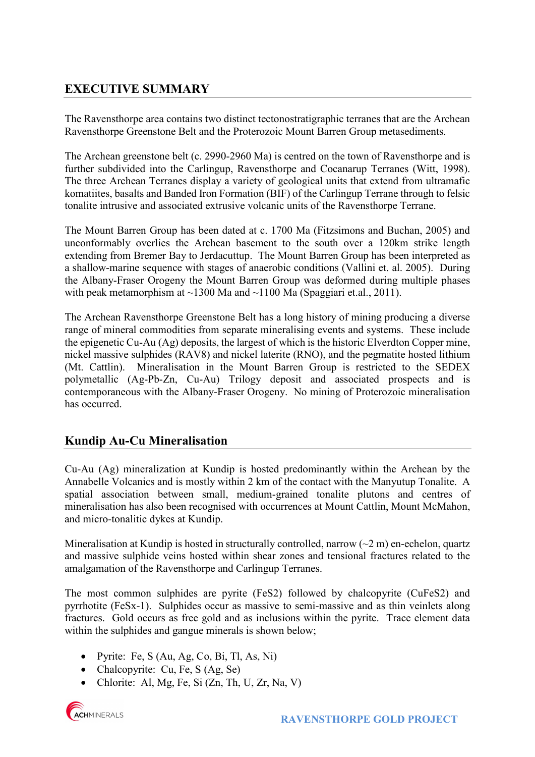# **EXECUTIVE SUMMARY**

The Ravensthorpe area contains two distinct tectonostratigraphic terranes that are the Archean Ravensthorpe Greenstone Belt and the Proterozoic Mount Barren Group metasediments.

The Archean greenstone belt (c. 2990-2960 Ma) is centred on the town of Ravensthorpe and is further subdivided into the Carlingup, Ravensthorpe and Cocanarup Terranes (Witt, 1998). The three Archean Terranes display a variety of geological units that extend from ultramafic komatiites, basalts and Banded Iron Formation (BIF) of the Carlingup Terrane through to felsic tonalite intrusive and associated extrusive volcanic units of the Ravensthorpe Terrane.

The Mount Barren Group has been dated at c. 1700 Ma (Fitzsimons and Buchan, 2005) and unconformably overlies the Archean basement to the south over a 120km strike length extending from Bremer Bay to Jerdacuttup. The Mount Barren Group has been interpreted as a shallow-marine sequence with stages of anaerobic conditions (Vallini et. al. 2005). During the Albany-Fraser Orogeny the Mount Barren Group was deformed during multiple phases with peak metamorphism at  $\sim$ 1300 Ma and  $\sim$ 1100 Ma (Spaggiari et.al., 2011).

The Archean Ravensthorpe Greenstone Belt has a long history of mining producing a diverse range of mineral commodities from separate mineralising events and systems. These include the epigenetic Cu-Au (Ag) deposits, the largest of which is the historic Elverdton Copper mine, nickel massive sulphides (RAV8) and nickel laterite (RNO), and the pegmatite hosted lithium (Mt. Cattlin). Mineralisation in the Mount Barren Group is restricted to the SEDEX polymetallic (Ag-Pb-Zn, Cu-Au) Trilogy deposit and associated prospects and is contemporaneous with the Albany-Fraser Orogeny. No mining of Proterozoic mineralisation has occurred.

# **Kundip Au-Cu Mineralisation**

Cu-Au (Ag) mineralization at Kundip is hosted predominantly within the Archean by the Annabelle Volcanics and is mostly within 2 km of the contact with the Manyutup Tonalite. A spatial association between small, medium-grained tonalite plutons and centres of mineralisation has also been recognised with occurrences at Mount Cattlin, Mount McMahon, and micro-tonalitic dykes at Kundip.

Mineralisation at Kundip is hosted in structurally controlled, narrow  $(\sim 2 \text{ m})$  en-echelon, quartz and massive sulphide veins hosted within shear zones and tensional fractures related to the amalgamation of the Ravensthorpe and Carlingup Terranes.

The most common sulphides are pyrite (FeS2) followed by chalcopyrite (CuFeS2) and pyrrhotite (FeSx-1). Sulphides occur as massive to semi-massive and as thin veinlets along fractures. Gold occurs as free gold and as inclusions within the pyrite. Trace element data within the sulphides and gangue minerals is shown below;

- Pyrite: Fe, S (Au, Ag, Co, Bi, Tl, As, Ni)
- Chalcopyrite: Cu, Fe, S (Ag, Se)
- Chlorite: Al, Mg, Fe, Si  $(Zn, Th, U, Zr, Na, V)$

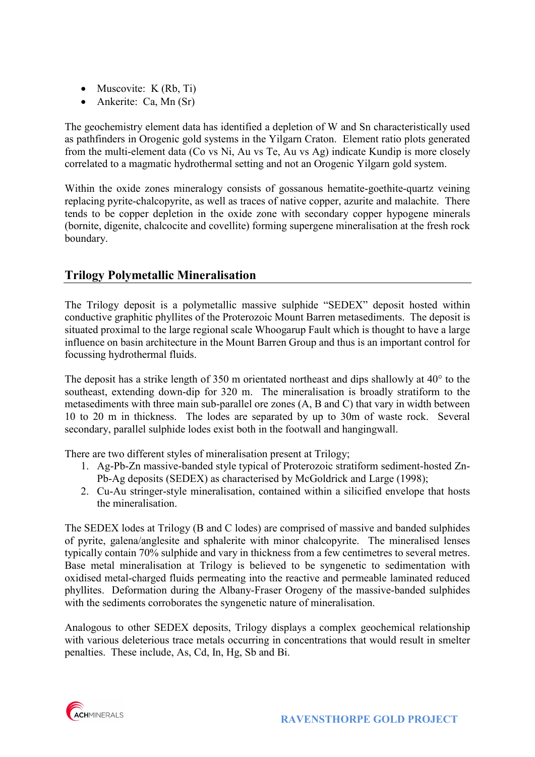- Muscovite:  $K(Rb, Ti)$
- Ankerite: Ca, Mn (Sr)

The geochemistry element data has identified a depletion of W and Sn characteristically used as pathfinders in Orogenic gold systems in the Yilgarn Craton. Element ratio plots generated from the multi-element data (Co vs Ni, Au vs Te, Au vs Ag) indicate Kundip is more closely correlated to a magmatic hydrothermal setting and not an Orogenic Yilgarn gold system.

Within the oxide zones mineralogy consists of gossanous hematite-goethite-quartz veining replacing pyrite-chalcopyrite, as well as traces of native copper, azurite and malachite. There tends to be copper depletion in the oxide zone with secondary copper hypogene minerals (bornite, digenite, chalcocite and covellite) forming supergene mineralisation at the fresh rock boundary.

## **Trilogy Polymetallic Mineralisation**

The Trilogy deposit is a polymetallic massive sulphide "SEDEX" deposit hosted within conductive graphitic phyllites of the Proterozoic Mount Barren metasediments. The deposit is situated proximal to the large regional scale Whoogarup Fault which is thought to have a large influence on basin architecture in the Mount Barren Group and thus is an important control for focussing hydrothermal fluids.

The deposit has a strike length of 350 m orientated northeast and dips shallowly at 40° to the southeast, extending down-dip for 320 m. The mineralisation is broadly stratiform to the metasediments with three main sub-parallel ore zones (A, B and C) that vary in width between 10 to 20 m in thickness. The lodes are separated by up to 30m of waste rock. Several secondary, parallel sulphide lodes exist both in the footwall and hangingwall.

There are two different styles of mineralisation present at Trilogy;

- 1. Ag-Pb-Zn massive-banded style typical of Proterozoic stratiform sediment-hosted Zn-Pb-Ag deposits (SEDEX) as characterised by McGoldrick and Large (1998);
- 2. Cu-Au stringer-style mineralisation, contained within a silicified envelope that hosts the mineralisation.

The SEDEX lodes at Trilogy (B and C lodes) are comprised of massive and banded sulphides of pyrite, galena/anglesite and sphalerite with minor chalcopyrite. The mineralised lenses typically contain 70% sulphide and vary in thickness from a few centimetres to several metres. Base metal mineralisation at Trilogy is believed to be syngenetic to sedimentation with oxidised metal-charged fluids permeating into the reactive and permeable laminated reduced phyllites. Deformation during the Albany-Fraser Orogeny of the massive-banded sulphides with the sediments corroborates the syngenetic nature of mineralisation.

Analogous to other SEDEX deposits, Trilogy displays a complex geochemical relationship with various deleterious trace metals occurring in concentrations that would result in smelter penalties. These include, As, Cd, In, Hg, Sb and Bi.